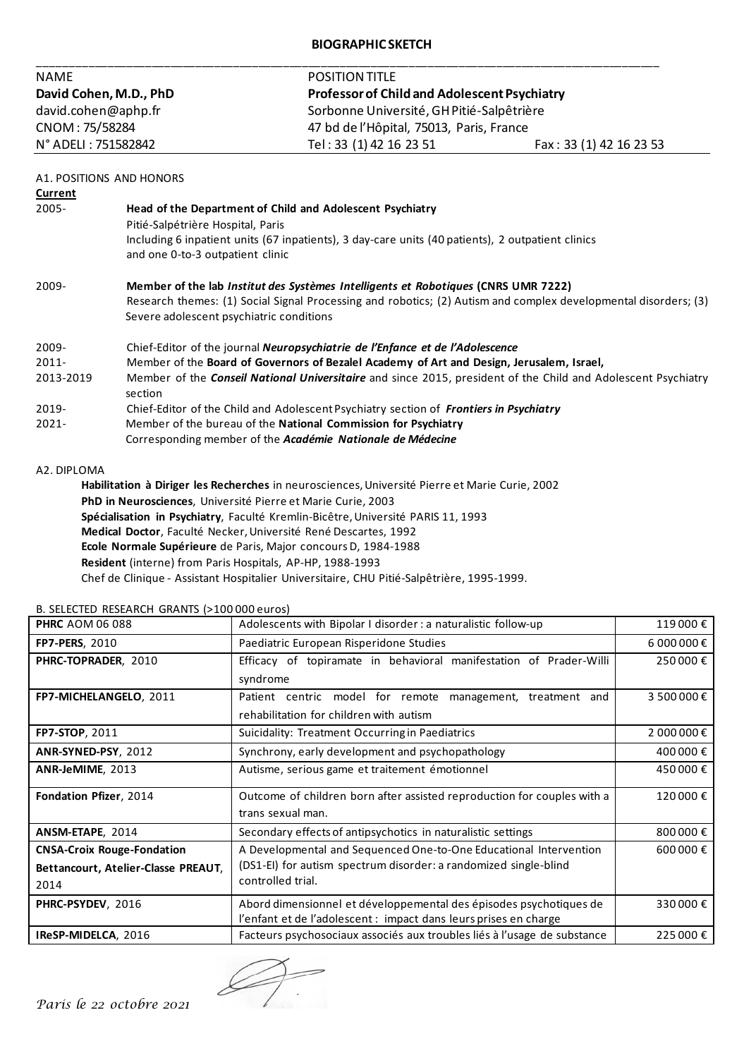## **BIOGRAPHIC SKETCH**

| <b>NAME</b>            | <b>POSITION TITLE</b>                               |                         |
|------------------------|-----------------------------------------------------|-------------------------|
| David Cohen, M.D., PhD | <b>Professor of Child and Adolescent Psychiatry</b> |                         |
| david.cohen@aphp.fr    | Sorbonne Université, GH Pitié-Salpêtrière           |                         |
| CNOM: 75/58284         | 47 bd de l'Hôpital, 75013, Paris, France            |                         |
| N° ADELI : 751582842   | Tel: 33 (1) 42 16 23 51                             | Fax: 33 (1) 42 16 23 53 |

| A1. POSITIONS AND HONORS |  |  |  |  |
|--------------------------|--|--|--|--|
|--------------------------|--|--|--|--|

| Current   |                                                                                                                      |
|-----------|----------------------------------------------------------------------------------------------------------------------|
| 2005-     | Head of the Department of Child and Adolescent Psychiatry                                                            |
|           | Pitié-Salpétrière Hospital, Paris                                                                                    |
|           | Including 6 inpatient units (67 inpatients), 3 day-care units (40 patients), 2 outpatient clinics                    |
|           | and one 0-to-3 outpatient clinic                                                                                     |
| 2009-     | Member of the lab <i>Institut des Systèmes Intelligents et Robotiques</i> (CNRS UMR 7222)                            |
|           | Research themes: (1) Social Signal Processing and robotics; (2) Autism and complex developmental disorders; (3)      |
|           | Severe adolescent psychiatric conditions                                                                             |
| 2009-     | Chief-Editor of the journal Neuropsychiatrie de l'Enfance et de l'Adolescence                                        |
| $2011 -$  | Member of the Board of Governors of Bezalel Academy of Art and Design, Jerusalem, Israel,                            |
| 2013-2019 | Member of the <i>Conseil National Universitaire</i> and since 2015, president of the Child and Adolescent Psychiatry |
|           | section                                                                                                              |
| 2019-     | Chief-Editor of the Child and Adolescent Psychiatry section of Frontiers in Psychiatry                               |
| $2021 -$  | Member of the bureau of the National Commission for Psychiatry                                                       |
|           | Corresponding member of the Académie Nationale de Médecine                                                           |
|           |                                                                                                                      |

### A2. DIPLOMA

**Habilitation à Diriger les Recherches** in neurosciences, Université Pierre et Marie Curie, 2002 **PhD in Neurosciences**, Université Pierre et Marie Curie, 2003 **Spécialisation in Psychiatry**, Faculté Kremlin-Bicêtre, Université PARIS 11, 1993 **Medical Doctor**, Faculté Necker, Université René Descartes, 1992 **Ecole Normale Supérieure** de Paris, Major concours D, 1984-1988 **Resident** (interne) from Paris Hospitals, AP-HP, 1988-1993 Chef de Clinique - Assistant Hospitalier Universitaire, CHU Pitié-Salpêtrière, 1995-1999.

| <b>PHRC AOM 06 088</b>              | Adolescents with Bipolar I disorder : a naturalistic follow-up           | 119 000€   |
|-------------------------------------|--------------------------------------------------------------------------|------------|
| <b>FP7-PERS, 2010</b>               | Paediatric European Risperidone Studies                                  | 6 000 000€ |
| PHRC-TOPRADER, 2010                 | Efficacy of topiramate in behavioral manifestation of Prader-Willi       | 250 000€   |
|                                     | syndrome                                                                 |            |
| FP7-MICHELANGELO, 2011              | Patient centric model for remote management, treatment and               | 3 500 000€ |
|                                     | rehabilitation for children with autism                                  |            |
| FP7-STOP, 2011                      | Suicidality: Treatment Occurring in Paediatrics                          | 2 000 000€ |
| ANR-SYNED-PSY, 2012                 | Synchrony, early development and psychopathology                         | 400 000 €  |
| ANR-JeMIME, 2013                    | Autisme, serious game et traitement émotionnel                           | 450 000 €  |
| Fondation Pfizer, 2014              | Outcome of children born after assisted reproduction for couples with a  | 120 000 €  |
|                                     | trans sexual man.                                                        |            |
| ANSM-ETAPE, 2014                    | Secondary effects of antipsychotics in naturalistic settings             | 800 000€   |
| <b>CNSA-Croix Rouge-Fondation</b>   | A Developmental and Sequenced One-to-One Educational Intervention        | 600 000€   |
| Bettancourt, Atelier-Classe PREAUT, | (DS1-EI) for autism spectrum disorder: a randomized single-blind         |            |
| 2014                                | controlled trial.                                                        |            |
| PHRC-PSYDEV, 2016                   | Abord dimensionnel et développemental des épisodes psychotiques de       | 330 000 €  |
|                                     | l'enfant et de l'adolescent : impact dans leurs prises en charge         |            |
| IReSP-MIDELCA, 2016                 | Facteurs psychosociaux associés aux troubles liés à l'usage de substance |            |

B. SELECTED RESEARCH GRANTS (>100 000 euros)

*Paris le 22 octobre 2021*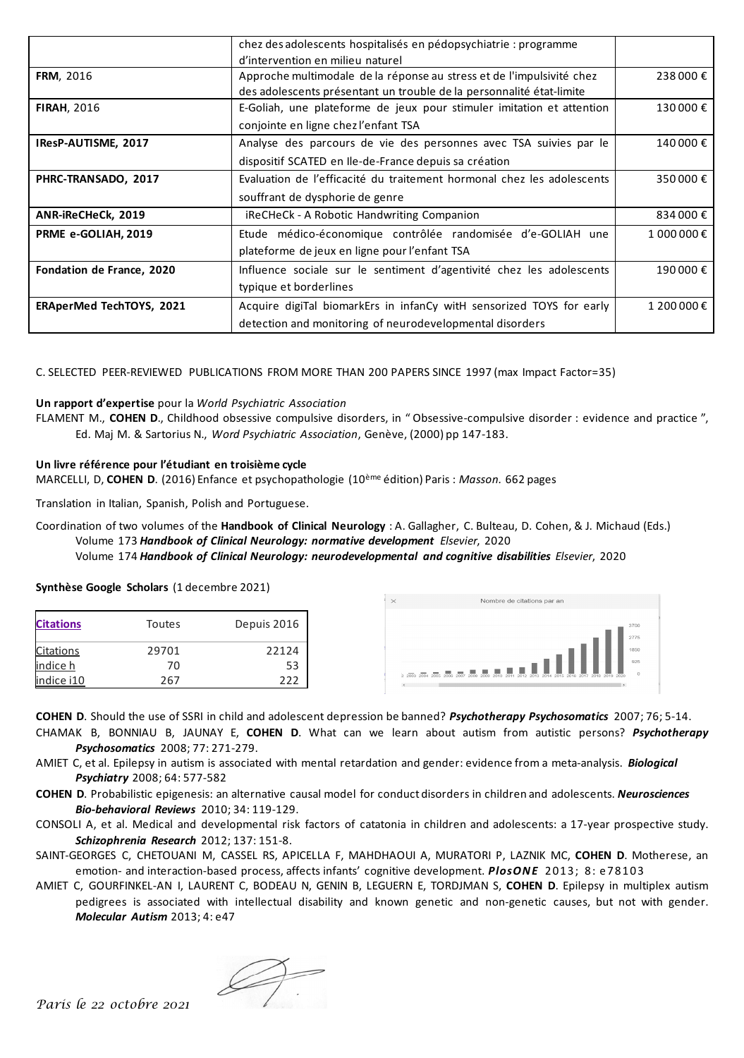|                                 | chez des adolescents hospitalisés en pédopsychiatrie : programme       |             |
|---------------------------------|------------------------------------------------------------------------|-------------|
|                                 | d'intervention en milieu naturel                                       |             |
| <b>FRM, 2016</b>                | Approche multimodale de la réponse au stress et de l'impulsivité chez  | 238 000 €   |
|                                 | des adolescents présentant un trouble de la personnalité état-limite   |             |
| <b>FIRAH, 2016</b>              | E-Goliah, une plateforme de jeux pour stimuler imitation et attention  | 130 000€    |
|                                 | conjointe en ligne chez l'enfant TSA                                   |             |
| IResP-AUTISME, 2017             | Analyse des parcours de vie des personnes avec TSA suivies par le      | 140 000 €   |
|                                 | dispositif SCATED en Ile-de-France depuis sa création                  |             |
| PHRC-TRANSADO, 2017             | Evaluation de l'efficacité du traitement hormonal chez les adolescents | 350 000€    |
|                                 | souffrant de dysphorie de genre                                        |             |
| ANR-iReCHeCk, 2019              | iReCHeCk - A Robotic Handwriting Companion                             | 834 000€    |
| PRME e-GOLIAH, 2019             | Etude médico-économique contrôlée randomisée d'e-GOLIAH une            | 1 000 000 € |
|                                 | plateforme de jeux en ligne pour l'enfant TSA                          |             |
| Fondation de France, 2020       | Influence sociale sur le sentiment d'agentivité chez les adolescents   | 190 000 €   |
|                                 | typique et borderlines                                                 |             |
| <b>ERAperMed TechTOYS, 2021</b> | Acquire digiTal biomarkErs in infanCy witH sensorized TOYS for early   | 1 200 000€  |
|                                 | detection and monitoring of neurodevelopmental disorders               |             |

C. SELECTED PEER-REVIEWED PUBLICATIONS FROM MORE THAN 200 PAPERS SINCE 1997 (max Impact Factor=35)

#### **Un rapport d'expertise** pour la *World Psychiatric Association*

FLAMENT M., **COHEN D**., Childhood obsessive compulsive disorders, in " Obsessive-compulsive disorder : evidence and practice ", Ed. Maj M. & Sartorius N., *Word Psychiatric Association*, Genève, (2000) pp 147-183.

#### **Un livre référence pour l'étudiant en troisième cycle**

MARCELLI, D, **COHEN D**. (2016) Enfance et psychopathologie (10ème édition) Paris : *Masson.* 662 pages

Translation in Italian, Spanish, Polish and Portuguese.

Coordination of two volumes of the **Handbook of Clinical Neurology** : A. Gallagher, C. Bulteau, D. Cohen, & J. Michaud (Eds.) Volume 173 *Handbook of Clinical Neurology: normative development Elsevier*, 2020 Volume 174 *Handbook of Clinical Neurology: neurodevelopmental and cognitive disabilities Elsevier*, 2020

# **Synthèse Google Scholars** (1 decembre 2021)

| <b>Citations</b> | Toutes | Depuis 2016 |
|------------------|--------|-------------|
| <b>Citations</b> | 29701  | 22124       |
| indice h         | 70     | 53          |
| indice i10       | 267    | 222         |



**COHEN D**. Should the use of SSRI in child and adolescent depression be banned? *Psychotherapy Psychosomatics* 2007; 76; 5-14.

- CHAMAK B, BONNIAU B, JAUNAY E, **COHEN D**. What can we learn about autism from autistic persons? *Psychotherapy Psychosomatics* 2008; 77: 271-279.
- AMIET C, et al. Epilepsy in autism is associated with mental retardation and gender: evidence from a meta-analysis. *Biological Psychiatry* 2008; 64: 577-582
- **COHEN D**. Probabilistic epigenesis: an alternative causal model for conduct disorders in children and adolescents. *Neurosciences Bio-behavioral Reviews* 2010; 34: 119-129.
- CONSOLI A, et al. Medical and developmental risk factors of catatonia in children and adolescents: a 17-year prospective study. *Schizophrenia Research* 2012; 137: 151-8.
- SAINT-GEORGES C, CHETOUANI M, CASSEL RS, APICELLA F, MAHDHAOUI A, MURATORI P, LAZNIK MC, **COHEN D**. Motherese, an emotion- and interaction-based process, affects infants' cognitive development. *PlosONE* 2013; 8: e78103
- AMIET C, GOURFINKEL-AN I, LAURENT C, BODEAU N, GENIN B, LEGUERN E, TORDJMAN S, **COHEN D**. Epilepsy in multiplex autism pedigrees is associated with intellectual disability and known genetic and non-genetic causes, but not with gender. *Molecular Autism* 2013; 4: e47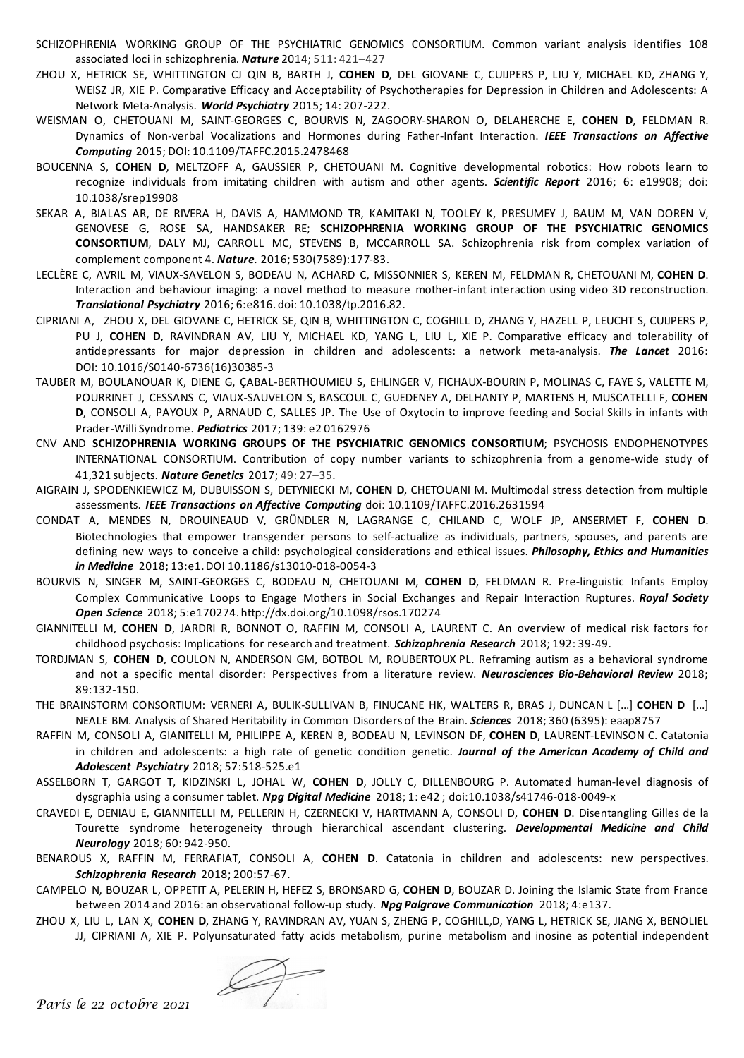- SCHIZOPHRENIA WORKING GROUP OF THE PSYCHIATRIC GENOMICS CONSORTIUM. Common variant analysis identifies 108 associated loci in schizophrenia. *Nature* 2014; 511: 421–427
- ZHOU X, HETRICK SE, WHITTINGTON CJ QIN B, BARTH J, **COHEN D**, DEL GIOVANE C, CUIJPERS P, LIU Y, MICHAEL KD, ZHANG Y, WEISZ JR, XIE P. Comparative Efficacy and Acceptability of Psychotherapies for Depression in Children and Adolescents: A Network Meta-Analysis. *World Psychiatry* 2015; 14: 207-222.
- WEISMAN O, CHETOUANI M, SAINT-GEORGES C, BOURVIS N, ZAGOORY-SHARON O, DELAHERCHE E, **COHEN D**, FELDMAN R. Dynamics of Non-verbal Vocalizations and Hormones during Father-Infant Interaction. *IEEE Transactions on Affective Computing* 2015; DOI[: 10.1109/TAFFC.2015.2478468](http://dx.doi.org/10.1109/TAFFC.2015.2478468)
- BOUCENNA S, **COHEN D**, MELTZOFF A, GAUSSIER P, CHETOUANI M. Cognitive developmental robotics: How robots learn to recognize individuals from imitating children with autism and other agents. *Scientific Report* 2016; 6: e19908; doi: 10.1038/srep19908
- SEKAR A, BIALAS AR, DE RIVERA H, DAVIS A, HAMMOND TR, KAMITAKI N, TOOLEY K, PRESUMEY J, BAUM M, VAN DOREN V, GENOVESE G, ROSE SA, HANDSAKER RE; **SCHIZOPHRENIA WORKING GROUP OF THE PSYCHIATRIC GENOMICS CONSORTIUM**, DALY MJ, CARROLL MC, STEVENS B, MCCARROLL SA. Schizophrenia risk from complex variation of complement component 4. *Nature*. 2016; 530(7589):177-83.
- LECLÈRE C, AVRIL M, VIAUX-SAVELON S, BODEAU N, ACHARD C, MISSONNIER S, KEREN M, FELDMAN R, CHETOUANI M, **COHEN D**. Interaction and behaviour imaging: a novel method to measure mother-infant interaction using video 3D reconstruction. *Translational Psychiatry* 2016; 6:e816. doi: 10.1038/tp.2016.82.
- CIPRIANI A, ZHOU X, DEL GIOVANE C, HETRICK SE, QIN B, WHITTINGTON C, COGHILL D, ZHANG Y, HAZELL P, LEUCHT S, CUIJPERS P, PU J, **COHEN D**, RAVINDRAN AV, LIU Y, MICHAEL KD, YANG L, LIU L, XIE P. Comparative efficacy and tolerability of antidepressants for major depression in children and adolescents: a network meta-analysis. *The Lancet* 2016: DOI: [10.1016/S0140-6736\(16\)30385-3](http://dx.doi.org/10.1016/S0140-6736(16)30385-3)
- TAUBER M, BOULANOUAR K, DIENE G, ÇABAL-BERTHOUMIEU S, EHLINGER V, FICHAUX-BOURIN P, MOLINAS C, FAYE S, VALETTE M, POURRINET J, CESSANS C, VIAUX-SAUVELON S, BASCOUL C, GUEDENEY A, DELHANTY P, MARTENS H, MUSCATELLI F, **COHEN D**, CONSOLI A, PAYOUX P, ARNAUD C, SALLES JP. The Use of Oxytocin to improve feeding and Social Skills in infants with Prader-Willi Syndrome. *Pediatrics* 2017; 139: e2 0162976
- CNV AND **SCHIZOPHRENIA WORKING GROUPS OF THE PSYCHIATRIC GENOMICS CONSORTIUM**; PSYCHOSIS ENDOPHENOTYPES INTERNATIONAL CONSORTIUM. Contribution of copy number variants to schizophrenia from a genome-wide study of 41,321 subjects. *Nature Genetics* 2017; 49: 27–35.
- AIGRAIN J, SPODENKIEWICZ M, DUBUISSON S, DETYNIECKI M, **COHEN D**, CHETOUANI M. Multimodal stress detection from multiple assessments. *IEEE Transactions on Affective Computing* doi: 10.1109/TAFFC.2016.2631594
- CONDAT A, MENDES N, DROUINEAUD V, GRÜNDLER N, LAGRANGE C, CHILAND C, WOLF JP, ANSERMET F, **COHEN D**. Biotechnologies that empower transgender persons to self-actualize as individuals, partners, spouses, and parents are defining new ways to conceive a child: psychological considerations and ethical issues. *Philosophy, Ethics and Humanities in Medicine* 2018; 13:e1. DOI 10.1186/s13010-018-0054-3
- BOURVIS N, SINGER M, SAINT-GEORGES C, BODEAU N, CHETOUANI M, **COHEN D**, FELDMAN R. Pre-linguistic Infants Employ Complex Communicative Loops to Engage Mothers in Social Exchanges and Repair Interaction Ruptures. *Royal Society Open Science* 2018; 5:e170274. http://dx.doi.org/10.1098/rsos.170274
- GIANNITELLI M, **COHEN D**, JARDRI R, BONNOT O, RAFFIN M, CONSOLI A, LAURENT C. An overview of medical risk factors for childhood psychosis: Implications for research and treatment. *Schizophrenia Research* 2018; 192: 39-49.
- TORDJMAN S, **COHEN D**, COULON N, ANDERSON GM, BOTBOL M, ROUBERTOUX PL. Reframing autism as a behavioral syndrome and not a specific mental disorder: Perspectives from a literature review. *Neurosciences Bio-Behavioral Review* 2018; 89:132-150.
- THE BRAINSTORM CONSORTIUM: VERNERI A, BULIK-SULLIVAN B, FINUCANE HK, WALTERS R, BRAS J, DUNCAN L [...] **COHEN D** [...] NEALE BM. Analysis of Shared Heritability in Common Disorders of the Brain. *Sciences* 2018; 360 (6395): eaap8757
- RAFFIN M, CONSOLI A, GIANITELLI M, PHILIPPE A, KEREN B, BODEAU N, LEVINSON DF, **COHEN D**, LAURENT-LEVINSON C. Catatonia in children and adolescents: a high rate of genetic condition genetic. *Journal of the American Academy of Child and Adolescent Psychiatry* 2018; 57:518-525.e1
- ASSELBORN T, GARGOT T, KIDZINSKI L, JOHAL W, **COHEN D**, JOLLY C, DILLENBOURG P. Automated human-level diagnosis of dysgraphia using a consumer tablet. *Npg Digital Medicine* 2018; 1: e42 ; doi:10.1038/s41746-018-0049-x
- CRAVEDI E, DENIAU E, GIANNITELLI M, PELLERIN H, CZERNECKI V, HARTMANN A, CONSOLI D, **COHEN D**. Disentangling Gilles de la Tourette syndrome heterogeneity through hierarchical ascendant clustering. *Developmental Medicine and Child Neurology* 2018; 60: 942-950.
- BENAROUS X, RAFFIN M, FERRAFIAT, CONSOLI A, **COHEN D**. Catatonia in children and adolescents: new perspectives. *Schizophrenia Research* 2018; 200:57-67.
- CAMPELO N, BOUZAR L, OPPETIT A, PELERIN H, HEFEZ S, BRONSARD G, **COHEN D**, BOUZAR D. Joining the Islamic State from France between 2014 and 2016: an observational follow-up study. *Npg Palgrave Communication* 2018; 4:e137.
- ZHOU X, LIU L, LAN X, **COHEN D**, ZHANG Y, RAVINDRAN AV, YUAN S, ZHENG P, COGHILL,D, YANG L, HETRICK SE, JIANG X, BENOLIEL JJ, CIPRIANI A, XIE P. Polyunsaturated fatty acids metabolism, purine metabolism and inosine as potential independent

*Paris le 22 octobre 2021*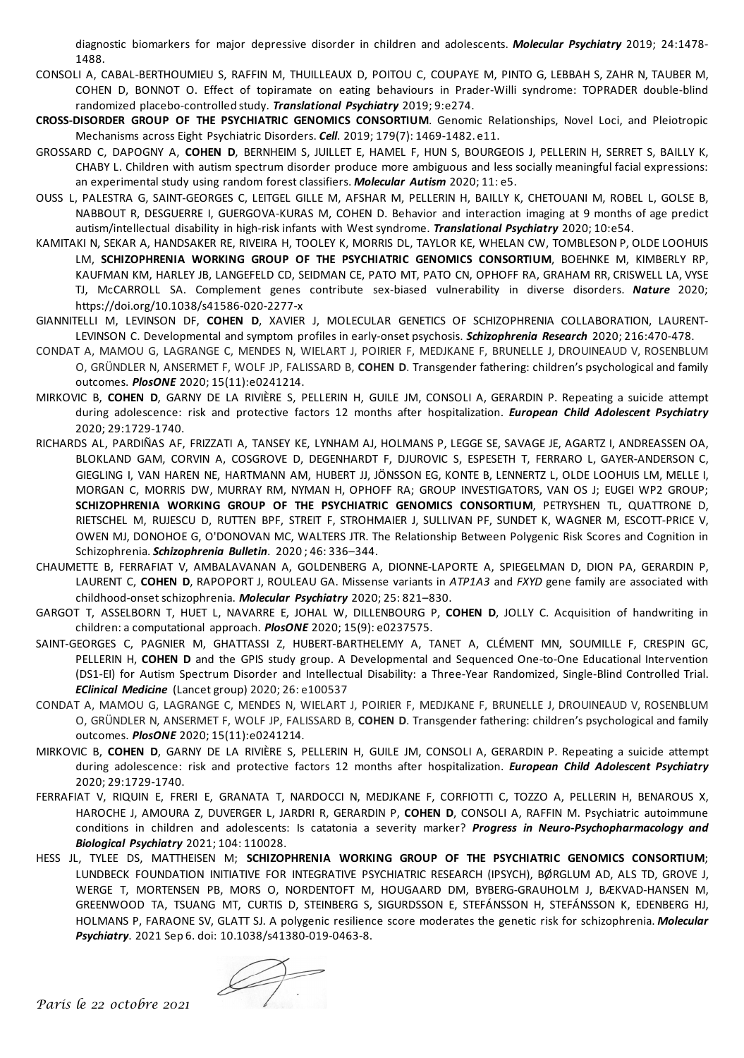diagnostic biomarkers for major depressive disorder in children and adolescents. *Molecular Psychiatry* 2019; 24:1478- 1488.

- CONSOLI A, CABAL-BERTHOUMIEU S, RAFFIN M, THUILLEAUX D, POITOU C, COUPAYE M, PINTO G, LEBBAH S, ZAHR N, TAUBER M, COHEN D, BONNOT O. Effect of topiramate on eating behaviours in Prader-Willi syndrome: TOPRADER double-blind randomized placebo-controlled study. *Translational Psychiatry* 2019; 9:e274.
- **CROSS-DISORDER GROUP OF THE PSYCHIATRIC GENOMICS CONSORTIUM**. Genomic Relationships, Novel Loci, and Pleiotropic Mechanisms across Eight Psychiatric Disorders. *Cell*. 2019; 179(7): 1469-1482. e11.
- GROSSARD C, DAPOGNY A, **COHEN D**, BERNHEIM S, JUILLET E, HAMEL F, HUN S, BOURGEOIS J, PELLERIN H, SERRET S, BAILLY K, CHABY L. Children with autism spectrum disorder produce more ambiguous and less socially meaningful facial expressions: an experimental study using random forest classifiers. *Molecular Autism* 2020; 11: e5.
- OUSS L, PALESTRA G, SAINT-GEORGES C, LEITGEL GILLE M, AFSHAR M, PELLERIN H, BAILLY K, CHETOUANI M, ROBEL L, GOLSE B, NABBOUT R, DESGUERRE I, GUERGOVA-KURAS M, COHEN D. Behavior and interaction imaging at 9 months of age predict autism/intellectual disability in high-risk infants with West syndrome. *Translational Psychiatry* 2020; 10:e54.
- KAMITAKI N, SEKAR A, HANDSAKER RE, RIVEIRA H, TOOLEY K, MORRIS DL, TAYLOR KE, WHELAN CW, TOMBLESON P, OLDE LOOHUIS LM, **SCHIZOPHRENIA WORKING GROUP OF THE PSYCHIATRIC GENOMICS CONSORTIUM**, BOEHNKE M, KIMBERLY RP, KAUFMAN KM, HARLEY JB, LANGEFELD CD, SEIDMAN CE, PATO MT, PATO CN, OPHOFF RA, GRAHAM RR, CRISWELL LA, VYSE TJ, McCARROLL SA. Complement genes contribute sex-biased vulnerability in diverse disorders. *Nature* 2020; https://doi.org/10.1038/s41586-020-2277-x
- GIANNITELLI M, LEVINSON DF, **COHEN D**, XAVIER J, MOLECULAR GENETICS OF SCHIZOPHRENIA COLLABORATION, LAURENT-LEVINSON C. Developmental and symptom profiles in early-onset psychosis. *Schizophrenia Research* 2020; 216:470-478.
- CONDAT A, MAMOU G, LAGRANGE C, MENDES N, WIELART J, POIRIER F, MEDJKANE F, BRUNELLE J, DROUINEAUD V, ROSENBLUM O, GRÜNDLER N, ANSERMET F, WOLF JP, FALISSARD B, **COHEN D**. Transgender fathering: children's psychological and family outcomes. *PlosONE* 2020; 15(11):e0241214.
- MIRKOVIC B, **COHEN D**, GARNY DE LA RIVIÈRE S, PELLERIN H, GUILE JM, CONSOLI A, GERARDIN P. Repeating a suicide attempt during adolescence: risk and protective factors 12 months after hospitalization. *European Child Adolescent Psychiatry*  2020; 29:1729-1740.
- RICHARDS AL, PARDIÑAS AF, FRIZZATI A, TANSEY KE, LYNHAM AJ, HOLMANS P, LEGGE SE, SAVAGE JE, AGARTZ I, ANDREASSEN OA, BLOKLAND GAM, CORVIN A, COSGROVE D, DEGENHARDT F, DJUROVIC S, ESPESETH T, FERRARO L, GAYER-ANDERSON C, GIEGLING I, VAN HAREN NE, HARTMANN AM, HUBERT JJ, JÖNSSON EG, KONTE B, LENNERTZ L, OLDE LOOHUIS LM, MELLE I, MORGAN C, MORRIS DW, MURRAY RM, NYMAN H, OPHOFF RA; GROUP INVESTIGATORS, VAN OS J; EUGEI WP2 GROUP; **SCHIZOPHRENIA WORKING GROUP OF THE PSYCHIATRIC GENOMICS CONSORTIUM**, PETRYSHEN TL, QUATTRONE D, RIETSCHEL M, RUJESCU D, RUTTEN BPF, STREIT F, STROHMAIER J, SULLIVAN PF, SUNDET K, WAGNER M, ESCOTT-PRICE V, OWEN MJ, DONOHOE G, O'DONOVAN MC, WALTERS JTR. The Relationship Between Polygenic Risk Scores and Cognition in Schizophrenia. *Schizophrenia Bulletin*. 2020 ; 46: 336–344.
- CHAUMETTE B, FERRAFIAT V, AMBALAVANAN A, GOLDENBERG A, DIONNE-LAPORTE A, SPIEGELMAN D, DION PA, GERARDIN P, LAURENT C, **COHEN D**, RAPOPORT J, ROULEAU GA. Missense variants in *ATP1A3* and *FXYD* gene family are associated with childhood-onset schizophrenia. *Molecular Psychiatry* 2020; 25: 821–830.
- GARGOT T, ASSELBORN T, HUET L, NAVARRE E, JOHAL W, DILLENBOURG P, **COHEN D**, JOLLY C. Acquisition of handwriting in children: a computational approach. *PlosONE* 2020; 15(9): e0237575.
- SAINT-GEORGES C, PAGNIER M, GHATTASSI Z, HUBERT-BARTHELEMY A, TANET A, CLÉMENT MN, SOUMILLE F, CRESPIN GC, PELLERIN H, **COHEN D** and the GPIS study group. A Developmental and Sequenced One-to-One Educational Intervention (DS1-EI) for Autism Spectrum Disorder and Intellectual Disability: a Three-Year Randomized, Single-Blind Controlled Trial. *EClinical Medicine* (Lancet group) 2020; 26: e100537
- CONDAT A, MAMOU G, LAGRANGE C, MENDES N, WIELART J, POIRIER F, MEDJKANE F, BRUNELLE J, DROUINEAUD V, ROSENBLUM O, GRÜNDLER N, ANSERMET F, WOLF JP, FALISSARD B, **COHEN D**. Transgender fathering: children's psychological and family outcomes. *PlosONE* 2020; 15(11):e0241214.
- MIRKOVIC B, **COHEN D**, GARNY DE LA RIVIÈRE S, PELLERIN H, GUILE JM, CONSOLI A, GERARDIN P. Repeating a suicide attempt during adolescence: risk and protective factors 12 months after hospitalization. *European Child Adolescent Psychiatry* 2020; 29:1729-1740.
- FERRAFIAT V, RIQUIN E, FRERI E, GRANATA T, NARDOCCI N, MEDJKANE F, CORFIOTTI C, TOZZO A, PELLERIN H, BENAROUS X, HAROCHE J, AMOURA Z, DUVERGER L, JARDRI R, GERARDIN P, **COHEN D**, CONSOLI A, RAFFIN M. Psychiatric autoimmune conditions in children and adolescents: Is catatonia a severity marker? *Progress in Neuro-Psychopharmacology and Biological Psychiatry* 2021; 104: 110028.
- HESS JL, TYLEE DS, MATTHEISEN M; **SCHIZOPHRENIA WORKING GROUP OF THE PSYCHIATRIC GENOMICS CONSORTIUM**; LUNDBECK FOUNDATION INITIATIVE FOR INTEGRATIVE PSYCHIATRIC RESEARCH (IPSYCH), BØRGLUM AD, ALS TD, GROVE J, WERGE T, MORTENSEN PB, MORS O, NORDENTOFT M, HOUGAARD DM, BYBERG-GRAUHOLM J, BÆKVAD-HANSEN M, GREENWOOD TA, TSUANG MT, CURTIS D, STEINBERG S, SIGURDSSON E, STEFÁNSSON H, STEFÁNSSON K, EDENBERG HJ, HOLMANS P, FARAONE SV, GLATT SJ. A polygenic resilience score moderates the genetic risk for schizophrenia. *Molecular Psychiatry*. 2021 Sep 6. doi: 10.1038/s41380-019-0463-8.